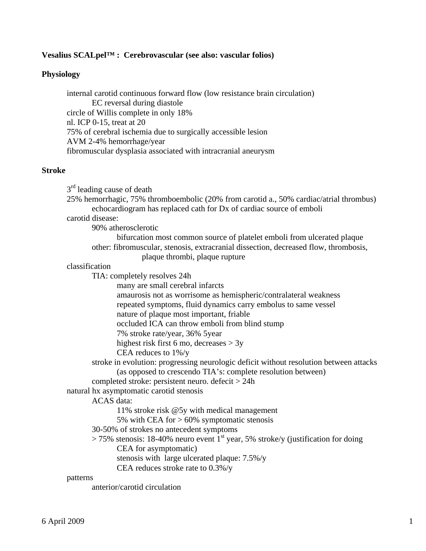## **Vesalius SCALpel™ : Cerebrovascular (see also: vascular folios)**

### **Physiology**

internal carotid continuous forward flow (low resistance brain circulation) EC reversal during diastole circle of Willis complete in only 18% nl. ICP 0-15, treat at 20 75% of cerebral ischemia due to surgically accessible lesion AVM 2-4% hemorrhage/year fibromuscular dysplasia associated with intracranial aneurysm

#### **Stroke**

 $3<sup>rd</sup>$  leading cause of death

 echocardiogram has replaced cath for Dx of cardiac source of emboli carotid disease: 90% atherosclerotic bifurcation most common source of platelet emboli from ulcerated plaque other: fibromuscular, stenosis, extracranial dissection, decreased flow, thrombosis, plaque thrombi, plaque rupture classification TIA: completely resolves 24h many are small cerebral infarcts amaurosis not as worrisome as hemispheric/contralateral weakness repeated symptoms, fluid dynamics carry embolus to same vessel nature of plaque most important, friable occluded ICA can throw emboli from blind stump 7% stroke rate/year, 36% 5year highest risk first 6 mo, decreases > 3y CEA reduces to 1%/y stroke in evolution: progressing neurologic deficit without resolution between attacks (as opposed to crescendo TIA's: complete resolution between) completed stroke: persistent neuro. defecit > 24h natural hx asymptomatic carotid stenosis ACAS data: 11% stroke risk @5y with medical management 5% with CEA for  $> 60\%$  symptomatic stenosis 30-50% of strokes no antecedent symptoms  $> 75\%$  stenosis: 18-40% neuro event  $1<sup>st</sup>$  year, 5% stroke/y (justification for doing CEA for asymptomatic) stenosis with large ulcerated plaque: 7.5%/y CEA reduces stroke rate to 0.3%/y patterns anterior/carotid circulation

25% hemorrhagic, 75% thromboembolic (20% from carotid a., 50% cardiac/atrial thrombus)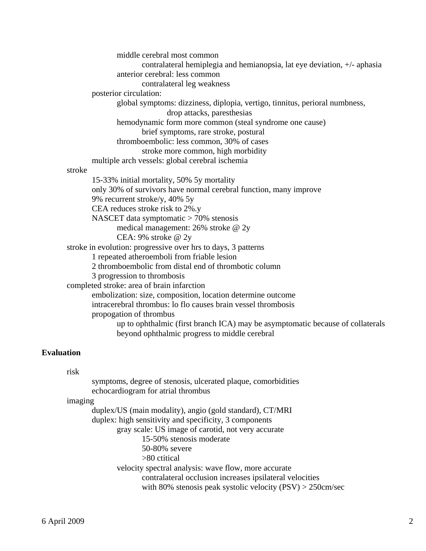middle cerebral most common contralateral hemiplegia and hemianopsia, lat eye deviation, +/- aphasia anterior cerebral: less common contralateral leg weakness posterior circulation: global symptoms: dizziness, diplopia, vertigo, tinnitus, perioral numbness, drop attacks, paresthesias hemodynamic form more common (steal syndrome one cause) brief symptoms, rare stroke, postural thromboembolic: less common, 30% of cases stroke more common, high morbidity multiple arch vessels: global cerebral ischemia stroke 15-33% initial mortality, 50% 5y mortality only 30% of survivors have normal cerebral function, many improve 9% recurrent stroke/y, 40% 5y CEA reduces stroke risk to 2%.y NASCET data symptomatic > 70% stenosis medical management: 26% stroke @ 2y CEA: 9% stroke @ 2y stroke in evolution: progressive over hrs to days, 3 patterns 1 repeated atheroemboli from friable lesion 2 thromboembolic from distal end of thrombotic column 3 progression to thrombosis completed stroke: area of brain infarction embolization: size, composition, location determine outcome intracerebral thrombus: lo flo causes brain vessel thrombosis propogation of thrombus up to ophthalmic (first branch ICA) may be asymptomatic because of collaterals beyond ophthalmic progress to middle cerebral

# **Evaluation**

risk

|         | symptoms, degree of stenosis, ulcerated plaque, comorbidities<br>echocardiogram for atrial thrombus |
|---------|-----------------------------------------------------------------------------------------------------|
| imaging |                                                                                                     |
|         | duplex/US (main modality), angio (gold standard), CT/MRI                                            |
|         | duplex: high sensitivity and specificity, 3 components                                              |
|         | gray scale: US image of carotid, not very accurate                                                  |
|         | 15-50% stenosis moderate                                                                            |
|         | 50-80% severe                                                                                       |
|         | $>80$ ctitical                                                                                      |
|         | velocity spectral analysis: wave flow, more accurate                                                |
|         | contralateral occlusion increases ipsilateral velocities                                            |
|         | with 80% stenosis peak systolic velocity $(PSV) > 250$ cm/sec                                       |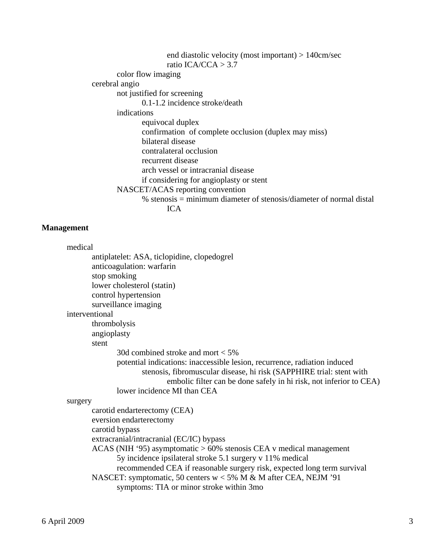end diastolic velocity (most important) > 140cm/sec ratio ICA/CCA  $>$  3.7 color flow imaging cerebral angio not justified for screening 0.1-1.2 incidence stroke/death indications equivocal duplex confirmation of complete occlusion (duplex may miss) bilateral disease contralateral occlusion recurrent disease arch vessel or intracranial disease if considering for angioplasty or stent NASCET/ACAS reporting convention % stenosis = minimum diameter of stenosis/diameter of normal distal ICA

#### **Management**

| medical                                                                   |
|---------------------------------------------------------------------------|
| antiplatelet: ASA, ticlopidine, clopedogrel                               |
| anticoagulation: warfarin                                                 |
| stop smoking                                                              |
| lower cholesterol (statin)                                                |
| control hypertension                                                      |
| surveillance imaging                                                      |
| interventional                                                            |
| thrombolysis                                                              |
| angioplasty                                                               |
| stent                                                                     |
| 30d combined stroke and mort $<$ 5%                                       |
| potential indications: inaccessible lesion, recurrence, radiation induced |
| stenosis, fibromuscular disease, hi risk (SAPPHIRE trial: stent with      |
| embolic filter can be done safely in hi risk, not inferior to CEA)        |
| lower incidence MI than CEA                                               |
| surgery                                                                   |
| carotid endarterectomy (CEA)                                              |
| eversion endarterectomy                                                   |
| carotid bypass                                                            |
| extracranial/intracranial (EC/IC) bypass                                  |
| $ACAS$ (NIH '95) asymptomatic $>60\%$ stenosis CEA v medical management   |
| 5y incidence ipsilateral stroke 5.1 surgery v 11% medical                 |
| recommended CEA if reasonable surgery risk, expected long term survival   |
| NASCET: symptomatic, 50 centers $w < 5\%$ M & M after CEA, NEJM '91       |
| exportance TIA or minor stroke within 2mo                                 |

symptoms: TIA or minor stroke within 3mo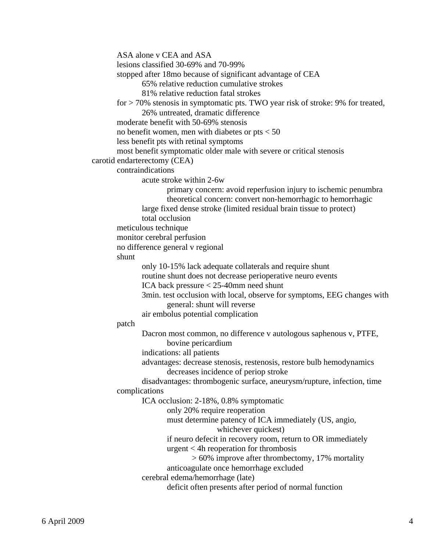```
 ASA alone v CEA and ASA 
       lesions classified 30-69% and 70-99% 
       stopped after 18mo because of significant advantage of CEA 
               65% relative reduction cumulative strokes 
               81% relative reduction fatal strokes 
       for > 70% stenosis in symptomatic pts. TWO year risk of stroke: 9% for treated, 
               26% untreated, dramatic difference 
       moderate benefit with 50-69% stenosis 
      no benefit women, men with diabetes or pts < 50 less benefit pts with retinal symptoms 
       most benefit symptomatic older male with severe or critical stenosis 
carotid endarterectomy (CEA) 
       contraindications 
               acute stroke within 2-6w 
                      primary concern: avoid reperfusion injury to ischemic penumbra 
                      theoretical concern: convert non-hemorrhagic to hemorrhagic 
               large fixed dense stroke (limited residual brain tissue to protect) 
               total occlusion 
       meticulous technique 
       monitor cerebral perfusion 
       no difference general v regional 
       shunt 
               only 10-15% lack adequate collaterals and require shunt 
               routine shunt does not decrease perioperative neuro events 
               ICA back pressure < 25-40mm need shunt 
               3min. test occlusion with local, observe for symptoms, EEG changes with 
                       general: shunt will reverse 
               air embolus potential complication 
       patch 
               Dacron most common, no difference v autologous saphenous v, PTFE, 
                      bovine pericardium 
               indications: all patients 
               advantages: decrease stenosis, restenosis, restore bulb hemodynamics 
                      decreases incidence of periop stroke 
               disadvantages: thrombogenic surface, aneurysm/rupture, infection, time 
       complications 
               ICA occlusion: 2-18%, 0.8% symptomatic 
                      only 20% require reoperation 
                      must determine patency of ICA immediately (US, angio, 
                                      whichever quickest) 
                      if neuro defecit in recovery room, return to OR immediately 
                       urgent < 4h reoperation for thrombosis 
                              > 60% improve after thrombectomy, 17% mortality 
                      anticoagulate once hemorrhage excluded 
               cerebral edema/hemorrhage (late) 
                      deficit often presents after period of normal function
```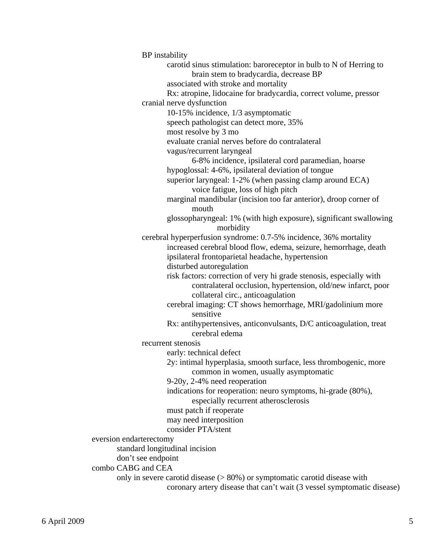BP instability carotid sinus stimulation: baroreceptor in bulb to N of Herring to brain stem to bradycardia, decrease BP associated with stroke and mortality Rx: atropine, lidocaine for bradycardia, correct volume, pressor cranial nerve dysfunction 10-15% incidence, 1/3 asymptomatic speech pathologist can detect more, 35% most resolve by 3 mo evaluate cranial nerves before do contralateral vagus/recurrent laryngeal 6-8% incidence, ipsilateral cord paramedian, hoarse hypoglossal: 4-6%, ipsilateral deviation of tongue superior laryngeal: 1-2% (when passing clamp around ECA) voice fatigue, loss of high pitch marginal mandibular (incision too far anterior), droop corner of mouth glossopharyngeal: 1% (with high exposure), significant swallowing morbidity cerebral hyperperfusion syndrome: 0.7-5% incidence, 36% mortality increased cerebral blood flow, edema, seizure, hemorrhage, death ipsilateral frontoparietal headache, hypertension disturbed autoregulation risk factors: correction of very hi grade stenosis, especially with contralateral occlusion, hypertension, old/new infarct, poor collateral circ., anticoagulation cerebral imaging: CT shows hemorrhage, MRI/gadolinium more sensitive Rx: antihypertensives, anticonvulsants, D/C anticoagulation, treat cerebral edema recurrent stenosis early: technical defect 2y: intimal hyperplasia, smooth surface, less thrombogenic, more common in women, usually asymptomatic 9-20y, 2-4% need reoperation indications for reoperation: neuro symptoms, hi-grade (80%), especially recurrent atherosclerosis must patch if reoperate may need interposition consider PTA/stent eversion endarterectomy standard longitudinal incision don't see endpoint combo CABG and CEA

 only in severe carotid disease (> 80%) or symptomatic carotid disease with coronary artery disease that can't wait (3 vessel symptomatic disease)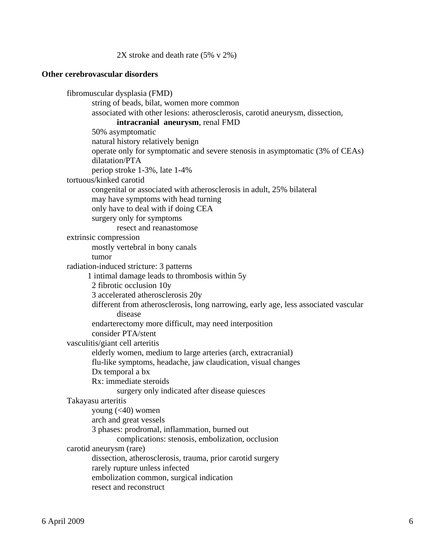2X stroke and death rate (5% v 2%)

### **Other cerebrovascular disorders**

 fibromuscular dysplasia (FMD) string of beads, bilat, women more common associated with other lesions: atherosclerosis, carotid aneurysm, dissection, **intracranial aneurysm**, renal FMD 50% asymptomatic natural history relatively benign operate only for symptomatic and severe stenosis in asymptomatic (3% of CEAs) dilatation/PTA periop stroke 1-3%, late 1-4% tortuous/kinked carotid congenital or associated with atherosclerosis in adult, 25% bilateral may have symptoms with head turning only have to deal with if doing CEA surgery only for symptoms resect and reanastomose extrinsic compression mostly vertebral in bony canals tumor radiation-induced stricture: 3 patterns 1 intimal damage leads to thrombosis within 5y 2 fibrotic occlusion 10y 3 accelerated atherosclerosis 20y different from atherosclerosis, long narrowing, early age, less associated vascular disease endarterectomy more difficult, may need interposition consider PTA/stent vasculitis/giant cell arteritis elderly women, medium to large arteries (arch, extracranial) flu-like symptoms, headache, jaw claudication, visual changes Dx temporal a bx Rx: immediate steroids surgery only indicated after disease quiesces Takayasu arteritis young  $( $40$ ) women$  arch and great vessels 3 phases: prodromal, inflammation, burned out complications: stenosis, embolization, occlusion carotid aneurysm (rare) dissection, atherosclerosis, trauma, prior carotid surgery rarely rupture unless infected embolization common, surgical indication resect and reconstruct